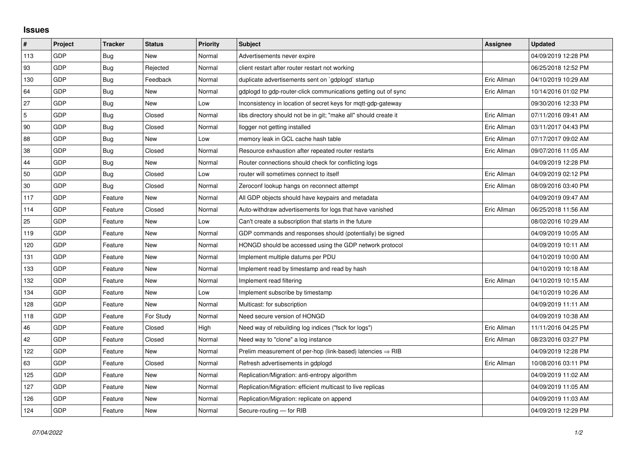## **Issues**

| $\pmb{\#}$ | Project    | <b>Tracker</b> | <b>Status</b> | <b>Priority</b> | <b>Subject</b>                                                         | <b>Assignee</b> | <b>Updated</b>      |
|------------|------------|----------------|---------------|-----------------|------------------------------------------------------------------------|-----------------|---------------------|
| 113        | GDP        | Bug            | <b>New</b>    | Normal          | Advertisements never expire                                            |                 | 04/09/2019 12:28 PM |
| 93         | <b>GDP</b> | <b>Bug</b>     | Rejected      | Normal          | client restart after router restart not working                        |                 | 06/25/2018 12:52 PM |
| 130        | GDP        | Bug            | Feedback      | Normal          | duplicate advertisements sent on `gdplogd` startup                     | Eric Allman     | 04/10/2019 10:29 AM |
| 64         | GDP        | <b>Bug</b>     | <b>New</b>    | Normal          | gdplogd to gdp-router-click communications getting out of sync         | Eric Allman     | 10/14/2016 01:02 PM |
| 27         | GDP        | <b>Bug</b>     | New           | Low             | Inconsistency in location of secret keys for mgtt-gdp-gateway          |                 | 09/30/2016 12:33 PM |
| 5          | GDP        | Bug            | Closed        | Normal          | libs directory should not be in git; "make all" should create it       | Eric Allman     | 07/11/2016 09:41 AM |
| 90         | GDP        | Bug            | Closed        | Normal          | llogger not getting installed                                          | Eric Allman     | 03/11/2017 04:43 PM |
| 88         | GDP        | Bug            | New           | Low             | memory leak in GCL cache hash table                                    | Eric Allman     | 07/17/2017 09:02 AM |
| 38         | GDP        | Bug            | Closed        | Normal          | Resource exhaustion after repeated router restarts                     | Eric Allman     | 09/07/2016 11:05 AM |
| 44         | GDP        | Bug            | <b>New</b>    | Normal          | Router connections should check for conflicting logs                   |                 | 04/09/2019 12:28 PM |
| 50         | GDP        | Bug            | Closed        | Low             | router will sometimes connect to itself                                | Eric Allman     | 04/09/2019 02:12 PM |
| $30\,$     | <b>GDP</b> | Bug            | Closed        | Normal          | Zeroconf lookup hangs on reconnect attempt                             | Eric Allman     | 08/09/2016 03:40 PM |
| 117        | GDP        | Feature        | <b>New</b>    | Normal          | All GDP objects should have keypairs and metadata                      |                 | 04/09/2019 09:47 AM |
| 114        | GDP        | Feature        | Closed        | Normal          | Auto-withdraw advertisements for logs that have vanished               | Eric Allman     | 06/25/2018 11:56 AM |
| 25         | GDP        | Feature        | New           | Low             | Can't create a subscription that starts in the future                  |                 | 08/02/2016 10:29 AM |
| 119        | GDP        | Feature        | <b>New</b>    | Normal          | GDP commands and responses should (potentially) be signed              |                 | 04/09/2019 10:05 AM |
| 120        | GDP        | Feature        | New           | Normal          | HONGD should be accessed using the GDP network protocol                |                 | 04/09/2019 10:11 AM |
| 131        | GDP        | Feature        | <b>New</b>    | Normal          | Implement multiple datums per PDU                                      |                 | 04/10/2019 10:00 AM |
| 133        | GDP        | Feature        | New           | Normal          | Implement read by timestamp and read by hash                           |                 | 04/10/2019 10:18 AM |
| 132        | GDP        | Feature        | New           | Normal          | Implement read filtering                                               | Eric Allman     | 04/10/2019 10:15 AM |
| 134        | GDP        | Feature        | New           | Low             | Implement subscribe by timestamp                                       |                 | 04/10/2019 10:26 AM |
| 128        | GDP        | Feature        | <b>New</b>    | Normal          | Multicast: for subscription                                            |                 | 04/09/2019 11:11 AM |
| 118        | GDP        | Feature        | For Study     | Normal          | Need secure version of HONGD                                           |                 | 04/09/2019 10:38 AM |
| 46         | GDP        | Feature        | Closed        | High            | Need way of rebuilding log indices ("fsck for logs")                   | Eric Allman     | 11/11/2016 04:25 PM |
| 42         | GDP        | Feature        | Closed        | Normal          | Need way to "clone" a log instance                                     | Eric Allman     | 08/23/2016 03:27 PM |
| 122        | GDP        | Feature        | New           | Normal          | Prelim measurement of per-hop (link-based) latencies $\Rightarrow$ RIB |                 | 04/09/2019 12:28 PM |
| 63         | GDP        | Feature        | Closed        | Normal          | Refresh advertisements in gdplogd                                      | Eric Allman     | 10/08/2016 03:11 PM |
| 125        | GDP        | Feature        | New           | Normal          | Replication/Migration: anti-entropy algorithm                          |                 | 04/09/2019 11:02 AM |
| 127        | GDP        | Feature        | New           | Normal          | Replication/Migration: efficient multicast to live replicas            |                 | 04/09/2019 11:05 AM |
| 126        | GDP        | Feature        | New           | Normal          | Replication/Migration: replicate on append                             |                 | 04/09/2019 11:03 AM |
| 124        | GDP        | Feature        | New           | Normal          | Secure-routing - for RIB                                               |                 | 04/09/2019 12:29 PM |